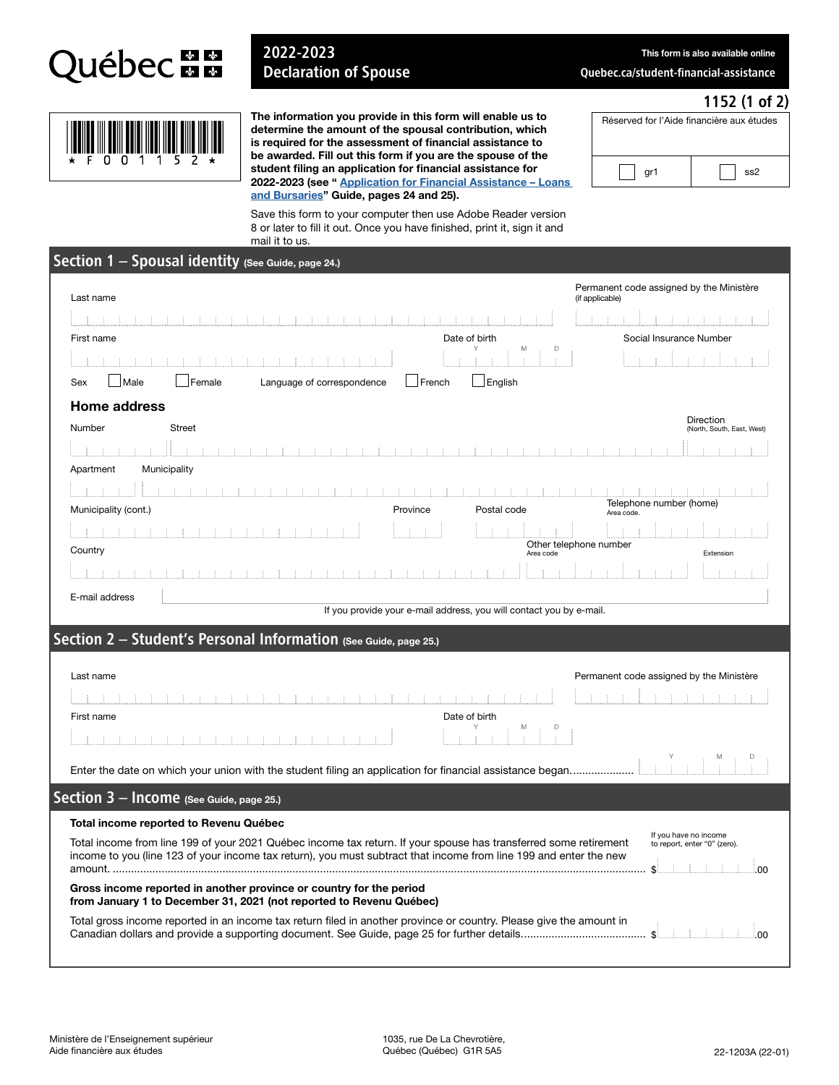

## 2022-2023 Declaration of Spouse

This form is also available online

[Quebec.ca/student-financial-assistance](www.quebec.ca/student-financial-assistance)

Réserved for l'Aide financière aux études

gr1  $\vert$   $\vert$  ss2

## 1152 (1 of 2)

|  | <b>THE REAL PROPERTY OF A STATE OF A STATE</b> |  |
|--|------------------------------------------------|--|
|  | * F N N 1 1 5 2 *                              |  |

The information you provide in this form will enable us to determine the amount of the spousal contribution, which is required for the assessment of financial assistance to be awarded. Fill out this form if you are the spouse of the student filing an application for financial assistance for [2022-2023 \(see " Application for Financial Assistance – Loans](http://www.afe.gouv.qc.ca/en/all-publications/detail/application-for-financial-assistance-loans-and-bursaries-guide-1/)  and Bursaries" Guide, pages 24 and 25).

Save this form to your computer then use Adobe Reader version 8 or later to fill it out. Once you have finished, print it, sign it and mail it to us.

| Section 1 - Spousal identity (See Guide, page 24.)                                                                                                                                                                                    |                                                  |                 |                                                             |  |  |  |
|---------------------------------------------------------------------------------------------------------------------------------------------------------------------------------------------------------------------------------------|--------------------------------------------------|-----------------|-------------------------------------------------------------|--|--|--|
| Last name                                                                                                                                                                                                                             |                                                  | (if applicable) | Permanent code assigned by the Ministère                    |  |  |  |
|                                                                                                                                                                                                                                       |                                                  |                 |                                                             |  |  |  |
| First name                                                                                                                                                                                                                            | Date of birth                                    |                 | Social Insurance Number                                     |  |  |  |
|                                                                                                                                                                                                                                       |                                                  | M<br>D          |                                                             |  |  |  |
| Male<br>Female<br>Sex<br>Language of correspondence                                                                                                                                                                                   | French<br>English                                |                 |                                                             |  |  |  |
| <b>Home address</b>                                                                                                                                                                                                                   |                                                  |                 |                                                             |  |  |  |
| Number<br><b>Street</b>                                                                                                                                                                                                               |                                                  |                 | Direction<br>(North, South, East, West)                     |  |  |  |
|                                                                                                                                                                                                                                       |                                                  |                 |                                                             |  |  |  |
| Municipality<br>Apartment                                                                                                                                                                                                             |                                                  |                 |                                                             |  |  |  |
|                                                                                                                                                                                                                                       |                                                  |                 |                                                             |  |  |  |
| Municipality (cont.)                                                                                                                                                                                                                  | Province<br>Postal code                          |                 | Telephone number (home)<br>Area code.                       |  |  |  |
|                                                                                                                                                                                                                                       |                                                  |                 |                                                             |  |  |  |
| Country                                                                                                                                                                                                                               | Other telephone number<br>Area code<br>Extension |                 |                                                             |  |  |  |
|                                                                                                                                                                                                                                       |                                                  |                 |                                                             |  |  |  |
| E-mail address                                                                                                                                                                                                                        |                                                  |                 |                                                             |  |  |  |
| If you provide your e-mail address, you will contact you by e-mail.                                                                                                                                                                   |                                                  |                 |                                                             |  |  |  |
| Section 2 - Student's Personal Information (See Guide, page 25.)                                                                                                                                                                      |                                                  |                 |                                                             |  |  |  |
|                                                                                                                                                                                                                                       |                                                  |                 |                                                             |  |  |  |
| Last name                                                                                                                                                                                                                             | Permanent code assigned by the Ministère         |                 |                                                             |  |  |  |
|                                                                                                                                                                                                                                       |                                                  |                 |                                                             |  |  |  |
| First name                                                                                                                                                                                                                            | Date of birth                                    | M<br>D          |                                                             |  |  |  |
|                                                                                                                                                                                                                                       |                                                  |                 |                                                             |  |  |  |
| Enter the date on which your union with the student filing an application for financial assistance began                                                                                                                              |                                                  |                 |                                                             |  |  |  |
| Section 3 - Income (See Guide, page 25.)                                                                                                                                                                                              |                                                  |                 |                                                             |  |  |  |
| Total income reported to Revenu Québec                                                                                                                                                                                                |                                                  |                 |                                                             |  |  |  |
| Total income from line 199 of your 2021 Québec income tax return. If your spouse has transferred some retirement<br>income to you (line 123 of your income tax return), you must subtract that income from line 199 and enter the new |                                                  |                 | If you have no income<br>to report, enter "0" (zero).<br>00 |  |  |  |
| Gross income reported in another province or country for the period<br>from January 1 to December 31, 2021 (not reported to Revenu Québec)                                                                                            |                                                  |                 |                                                             |  |  |  |
| Total gross income reported in an income tax return filed in another province or country. Please give the amount in                                                                                                                   |                                                  |                 | 00<br>S                                                     |  |  |  |